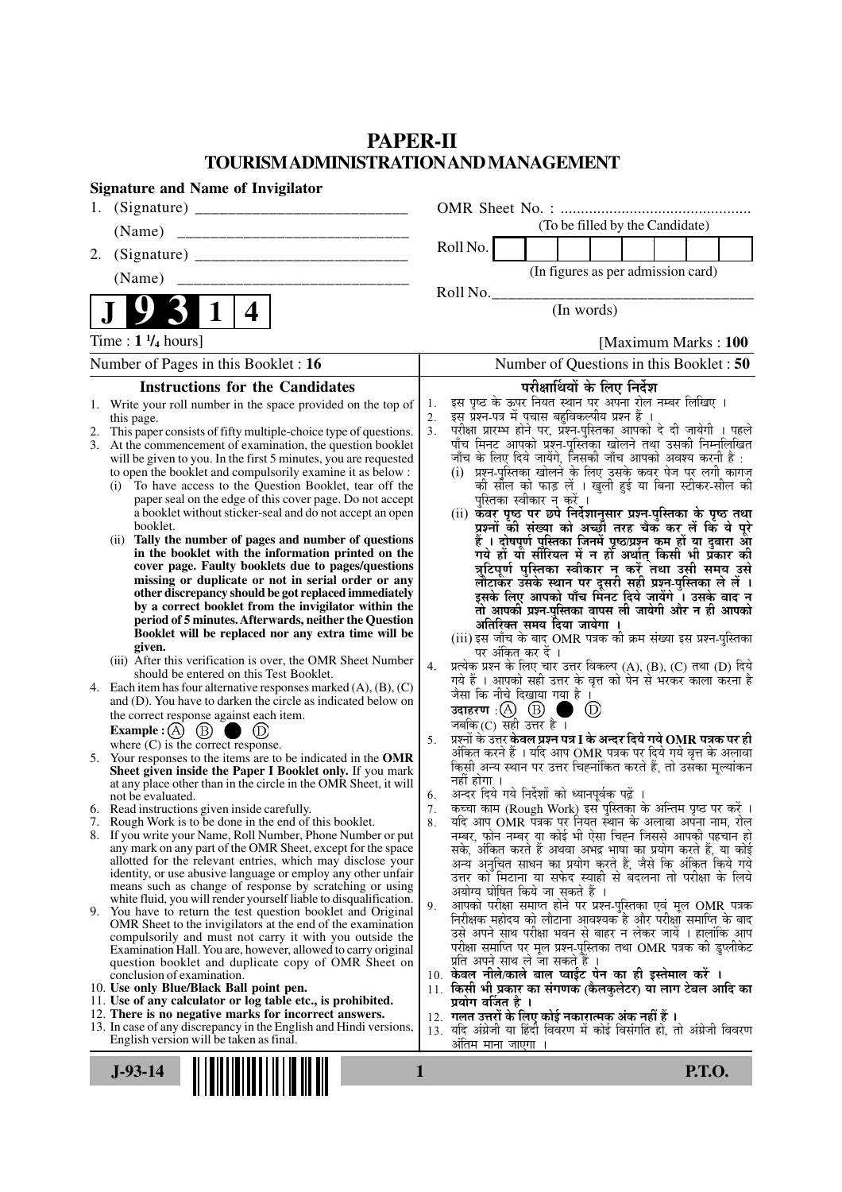## **PAPER-II TOURISM ADMINISTRATION AND MANAGEMENT**

| <b>Signature and Name of Invigilator</b>                                                                                      |                                                                                                                                                     |
|-------------------------------------------------------------------------------------------------------------------------------|-----------------------------------------------------------------------------------------------------------------------------------------------------|
| 1.                                                                                                                            |                                                                                                                                                     |
| (Name)                                                                                                                        | (To be filled by the Candidate)                                                                                                                     |
| 2.                                                                                                                            | Roll No.                                                                                                                                            |
|                                                                                                                               | (In figures as per admission card)                                                                                                                  |
|                                                                                                                               | Roll No.                                                                                                                                            |
| $\mathbf 1$<br>4                                                                                                              | (In words)                                                                                                                                          |
| Time : $1 \frac{1}{4}$ hours]                                                                                                 | [Maximum Marks: 100]                                                                                                                                |
| Number of Pages in this Booklet : 16                                                                                          | Number of Questions in this Booklet: 50                                                                                                             |
| <b>Instructions for the Candidates</b>                                                                                        | परीक्षार्थियों के लिए निर्देश                                                                                                                       |
| Write your roll number in the space provided on the top of<br>1.                                                              | इस पृष्ठ के ऊपर नियत स्थान पर अपना रोल नम्बर लिखिए ।<br>1.<br>इस प्रश्न-पत्र में पचास बहुविकल्पीय प्रश्न हैं ।                                      |
| this page.<br>This paper consists of fifty multiple-choice type of questions.<br>2.                                           | 2.<br>परीक्षा प्रारम्भ होने पर, प्रश्न-पुस्तिका आपको दे दी जायेगी । पहले<br>3.                                                                      |
| At the commencement of examination, the question booklet<br>3.                                                                | पाँच मिनट आपको प्रश्न-पुस्तिका खोलने तथा उसकी निम्नलिखित                                                                                            |
| will be given to you. In the first 5 minutes, you are requested<br>to open the booklet and compulsorily examine it as below : | जाँच के लिए दिये जायेंगे, जिसकी जाँच आपको अवश्य करनी है :<br>(i) प्रश्न-पुस्तिका खोलने के लिए उसके कवर पेज पर लगी कागज                              |
| To have access to the Question Booklet, tear off the<br>(i)                                                                   | की सील को फाड़ लें । खुली हुई या बिना स्टीकर-सील की                                                                                                 |
| paper seal on the edge of this cover page. Do not accept                                                                      | पुस्तिका स्वीकार न करें ।                                                                                                                           |
| a booklet without sticker-seal and do not accept an open<br>booklet.                                                          | (ii) कवर पृष्ठ पर छपे निर्देशानुसार प्रश्न-पुस्तिका के पृष्ठ तथा<br>प्रश्नों की संख्या को अच्छी तरह चैक कर लें कि ये पूरे                           |
| Tally the number of pages and number of questions<br>(ii)                                                                     | हैं । दोषपूर्ण पुस्तिका जिनमें पृष्ठ/प्रश्न कम हों या दुबारा आ<br>गये हो या सीरियल में न हो अर्थात् किसी भी प्रकार की                               |
| in the booklet with the information printed on the<br>cover page. Faulty booklets due to pages/questions                      |                                                                                                                                                     |
| missing or duplicate or not in serial order or any                                                                            | त्रुटिपूर्ण पुस्तिका स्वीकार न करें तथा उसी समय उसे<br>लौटाकर उसके स्थान पर दूसरी सही प्रश्न-पुस्तिका ले लें ।                                      |
| other discrepancy should be got replaced immediately                                                                          | इसके लिए आपको पाँच मिंनट दिये जायेंगे ँ। उसके बाद न                                                                                                 |
| by a correct booklet from the invigilator within the<br>period of 5 minutes. Afterwards, neither the Question                 | तो आपकी प्रश्न-पुस्तिका वापस ली जायेगी और न ही आपको<br>अतिरिक्त समय दिया जायेगा ।                                                                   |
| Booklet will be replaced nor any extra time will be                                                                           | (iii) इस जाँच के बाद OMR पत्रक की क्रम संख्या इस प्रश्न-पुस्तिका                                                                                    |
| given.<br>(iii) After this verification is over, the OMR Sheet Number                                                         | पर अंकित कर दें ।                                                                                                                                   |
| should be entered on this Test Booklet.                                                                                       | प्रत्येक प्रश्न के लिए चार उत्तर विकल्प (A), (B), (C) तथा (D) दिये<br>4.<br>गये हैं । आपको सही उत्तर के वृत्त को पेन से भरकर काला करना है           |
| 4. Each item has four alternative responses marked $(A)$ , $(B)$ , $(C)$                                                      | जैसा कि नीचे दिखाया गया है ।                                                                                                                        |
| and (D). You have to darken the circle as indicated below on<br>the correct response against each item.                       | उदाहरण : (A) (B)<br>$\circled{D}$                                                                                                                   |
| Example : (A) $(B)$                                                                                                           | जबकि(C) सही उत्तर है ।                                                                                                                              |
| where $(C)$ is the correct response.                                                                                          | प्रश्नों के उत्तर <b>केवल प्रश्न पत्र I के अन्दर दिये गये OMR पत्रक पर ही</b><br>5.<br>अंकित करने हैं । यदि आप OMR पत्रक पर दिये गये वृत्त के अलावा |
| 5. Your responses to the items are to be indicated in the OMR<br>Sheet given inside the Paper I Booklet only. If you mark     | किसी अन्य स्थान पर उत्तर चिह्नांकित करते हैं, तो उसका मूल्यांकन                                                                                     |
| at any place other than in the circle in the OMR Sheet, it will                                                               | नहीं होगा ।<br>अन्दर दिये गये निर्देशों को ध्यानपूर्वक पढ़ें ।<br>6.                                                                                |
| not be evaluated.<br>6. Read instructions given inside carefully.                                                             | कृत्वा काम (Rough Work) इस पुस्तिका के अन्तिम पृष्ठ पर करें ।<br>7 <sub>1</sub>                                                                     |
| 7. Rough Work is to be done in the end of this booklet.                                                                       | यदि आप OMR पत्रक पर नियत स्थान के अलावा अपना नाम, रोल<br>8.                                                                                         |
| 8. If you write your Name, Roll Number, Phone Number or put<br>any mark on any part of the OMR Sheet, except for the space    | नम्बर, फोन नम्बर या कोई भी ऐसा चिह्न जिससे आपकी पहचान हो<br>सके, अंकित करते हैं अथवा अभद्र भाषा का प्रयोग करते हैं, या कोई                          |
| allotted for the relevant entries, which may disclose your                                                                    | अन्य अनुचित साधन का प्रयोग करते हैं, जैसे कि अंकित किये गये                                                                                         |
| identity, or use abusive language or employ any other unfair<br>means such as change of response by scratching or using       | उत्तर को मिटाना या सफेद स्याही से बदलना तो परीक्षा के लिये                                                                                          |
| white fluid, you will render yourself liable to disqualification.                                                             | अयोग्य घोषित किये जा सकते हैं ।<br>आपको परीक्षा समाप्त होने पर प्रश्न-पुस्तिका एवं मूल OMR पत्रक<br>9.                                              |
| 9. You have to return the test question booklet and Original<br>OMR Sheet to the invigilators at the end of the examination   | निरीक्षक महोदय को लौटाना आवश्यक है और परीक्षा समाप्ति के बाद                                                                                        |
| compulsorily and must not carry it with you outside the                                                                       | उसे अपने साथ परीक्षा भवन से बाहर न लेकर जायें । हालांकि आप                                                                                          |
| Examination Hall. You are, however, allowed to carry original<br>question booklet and duplicate copy of OMR Sheet on          | परीक्षा समाप्ति पर मूल प्रश्न-पुस्तिका तथा OMR पत्रक की डुप्लीकेट<br>प्रति अपने साथ ले जा सकते हैं ।                                                |
| conclusion of examination.                                                                                                    | 10. केवल नीले/काले बाल प्वाईंट पेन का ही इस्तेमाल करें ।                                                                                            |
| 10. Use only Blue/Black Ball point pen.<br>11. Use of any calculator or log table etc., is prohibited.                        | 11. किसी भी प्रकार का संगणक (कैलकुलेटर) या लाग टेबल आदि का<br>प्रयोग वर्जित है ।                                                                    |
| 12. There is no negative marks for incorrect answers.                                                                         | 12. गलत उत्तरों के लिए कोई नकारात्मक अंक नहीं हैं ।                                                                                                 |
| 13. In case of any discrepancy in the English and Hindi versions,<br>English version will be taken as final.                  | 13. यदि अंग्रेजी या हिंदी विवरण में कोई विसंगति हो, तो अंग्रेजी विवरण                                                                               |
|                                                                                                                               | ओतम माना जाएगा ।                                                                                                                                    |
| $J-93-14$                                                                                                                     | <b>P.T.O.</b><br>1                                                                                                                                  |
|                                                                                                                               |                                                                                                                                                     |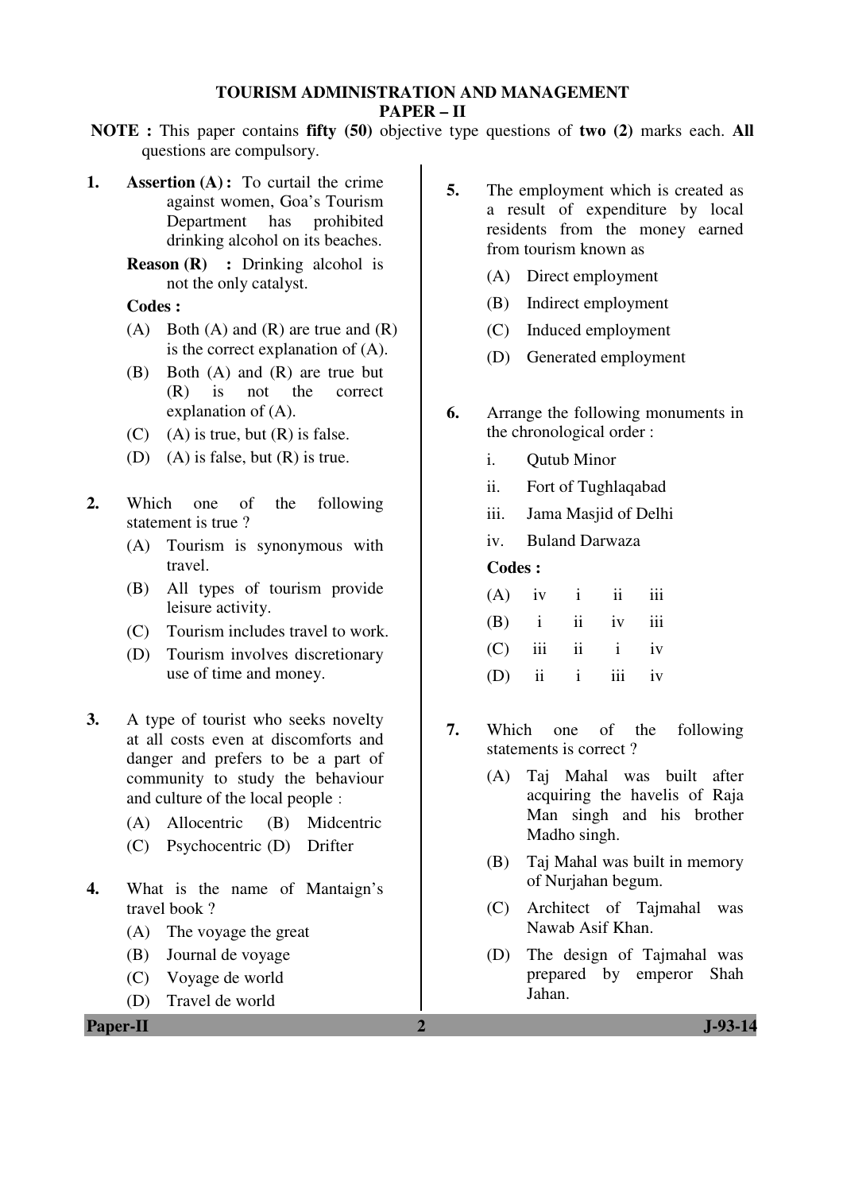#### **TOURISM ADMINISTRATION AND MANAGEMENT PAPER – II**

- **NOTE :** This paper contains **fifty (50)** objective type questions of **two (2)** marks each. **All** questions are compulsory.
- **1. Assertion (A) :** To curtail the crime against women, Goa's Tourism Department has prohibited drinking alcohol on its beaches.
	- **Reason (R) :** Drinking alcohol is not the only catalyst.

#### **Codes :**

- $(A)$  Both  $(A)$  and  $(R)$  are true and  $(R)$ is the correct explanation of (A).
- (B) Both (A) and (R) are true but (R) is not the correct explanation of (A).
- $(C)$  (A) is true, but  $(R)$  is false.
- (D) (A) is false, but  $(R)$  is true.
- **2.** Which one of the following statement is true ?
	- (A) Tourism is synonymous with travel.
	- (B) All types of tourism provide leisure activity.
	- (C) Tourism includes travel to work.
	- (D) Tourism involves discretionary use of time and money.
- **3.** A type of tourist who seeks novelty at all costs even at discomforts and danger and prefers to be a part of community to study the behaviour and culture of the local people :
	- (A) Allocentric (B) Midcentric
	- (C) Psychocentric (D) Drifter
- **4.** What is the name of Mantaign's travel book ?
	- (A) The voyage the great
	- (B) Journal de voyage
	- (C) Voyage de world
	- (D) Travel de world

**5.** The employment which is created as a result of expenditure by local residents from the money earned from tourism known as

- (A) Direct employment
- (B) Indirect employment
- (C) Induced employment
- (D) Generated employment
- **6.** Arrange the following monuments in the chronological order :
	- i. Qutub Minor
	- ii. Fort of Tughlaqabad
	- iii. Jama Masjid of Delhi
	- iv. Buland Darwaza

#### **Codes :**

| $(A)$ iv i ii iii  |  |  |
|--------------------|--|--|
| $(B)$ i ii iv iii  |  |  |
| $(C)$ iii ii i iv  |  |  |
| $(D)$ ii ii iii iv |  |  |

- **7.** Which one of the following statements is correct ?
	- (A) Taj Mahal was built after acquiring the havelis of Raja Man singh and his brother Madho singh.
	- (B) Taj Mahal was built in memory of Nurjahan begum.
	- (C) Architect of Tajmahal was Nawab Asif Khan.
	- (D) The design of Tajmahal was prepared by emperor Shah Jahan.

**Paper-II** J-93-14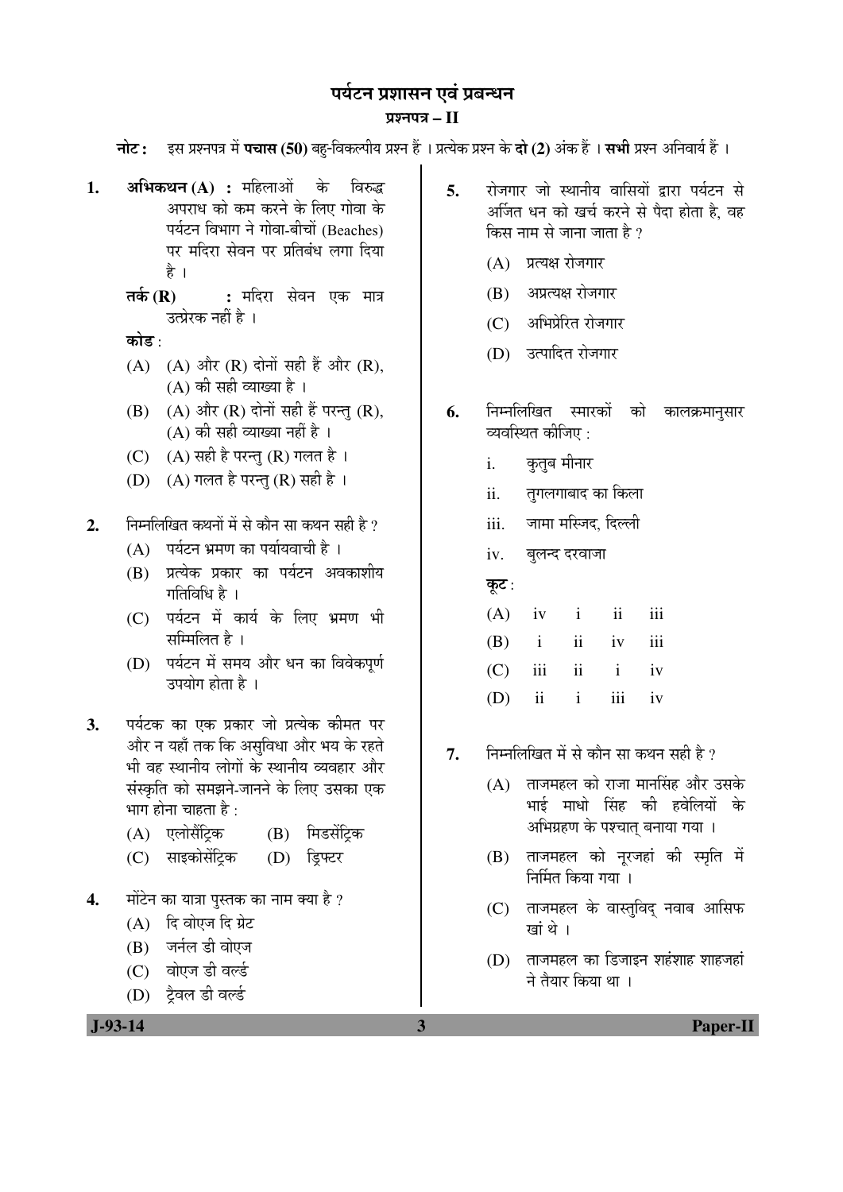# पर्यटन प्रशासन एवं प्रबन्धन

## ¯ÖÏ¿®Ö¯Ö¡Ö **– II**

**नोट: इस प्रश्नपत्र में पचास (50)** बहु-विकल्पीय प्रश्न हैं । प्रत्येक प्रश्न के **दो (2)** अंक हैं । सभी प्रश्न अनिवार्य हैं ।

- **1. अभिकथन (A) :** महिलाओं के विरुद्ध अपराध को कम करने के लिए गोवा के पर्यटन विभाग ने गोवा-बीचों (Beaches) पर मंदिरा सेवन पर प्रतिबंध लगा दिया है ।
	- **तर्क (R) :** मदिरा सेवन एक मात्र उत्प्रेरक नहीं है ।

कोड $\cdot$ 

- (A) (A) और (R) दोनों सही हैं और (R),  $(A)$  की सही व्याख्या है।
- $(B)$   $(A)$  और  $(R)$  दोनों सही हैं परन्त  $(R)$ ,  $(A)$  की सही व्याख्या नहीं है ।
- (C)  $(A)$  सही है परन्तु (R) गलत है।
- $(D)$   $(A)$  गलत है परन्तु $(R)$  सही है।

2. Fiम्नलिखित कथनों में से कौन सा कथन सही है ?

- $(A)$  पर्यटन भ्रमण का पर्यायवाची है।
- (B) प्रत्येक प्रकार का पर्यटन अवकाशीय गतिविधि है ।
- $(C)$  पर्यटन में कार्य के लिए भ्रमण भी सम्मिलित है ।
- (D) पर्यटन में समय और धन का विवेकपर्ण उपयोग होता है ।
- **3.** पर्यटक का एक प्रकार जो प्रत्येक कीमत पर और न यहाँ तक कि असुविधा और भय के रहते भी वह स्थानीय लोगों के स्थानीय व्यवहार और संस्कृति को समझने-जानने के लिए उसका एक भाग होना चाहता है :
	- (A) एलोसैंटिक (B) मिडसेंटिक
	- (C) साइकोसेंट्रिक (D) डिफ्टर
- 4. मोंटेन का यात्रा पुस्तक का नाम क्या है ?
	- $(A)$  दि वोएज दि ग्रेट
	- (B) जर्नल डी वोएज
	- (C) वोएज डी वर्ल्ड
	- (D) ट्रैवल डी वर्ल्ड
- 5. रोजगार जो स्थानीय वासियों द्वारा पर्यटन से अर्जित धन को खर्च करने से पैदा होता है, वह किस नाम से जाना जाता है  $\overline{v}$ 
	- $(A)$  प्रत्यक्ष रोजगार
	- (B) अप्रत्यक्ष रोजगार
	- $(C)$  अभिप्रेरित रोजगार
	- (D) उत्पादित रोजगार
- **6.** निम्नलिखित स्मारकों को कालक्रमानुसार व्यवस्थित कीजिए :
	- i. कुतुब मीनार
	- ii. तुगलगाबाद का किला
	- iii. जामा मस्जिद, दिल्ली
	- iv. बुलन्द दरवाजा

## कूट:

|  |  | $(A)$ iv i ii iii  |  |
|--|--|--------------------|--|
|  |  | $(B)$ i ii iv iii  |  |
|  |  | $(C)$ iii ii i iv  |  |
|  |  | $(D)$ ii ii iii iv |  |

- $7.$   $\,$  निम्नलिखित में से कौन सा कथन सही है ?
	- $(A)$  ताजमहल को राजा मानसिंह और उसके भाई माधो सिंह की हवेलियों क<mark>े</mark> अभिग्रहण के पश्चात् बनाया गया ।
	- (B) ताजमहल को नूरजहां की स्मृति में <u>निर्मित किया गया ।</u>
	- (C) ताजमहल के वास्तुविद् नवाब आसिफ खां थे ।
	- $(D)$  ताजमहल का डिजाइन शहंशाह शाहजहां ने तैयार किया था ।

 **J-93-14 3 Paper-II**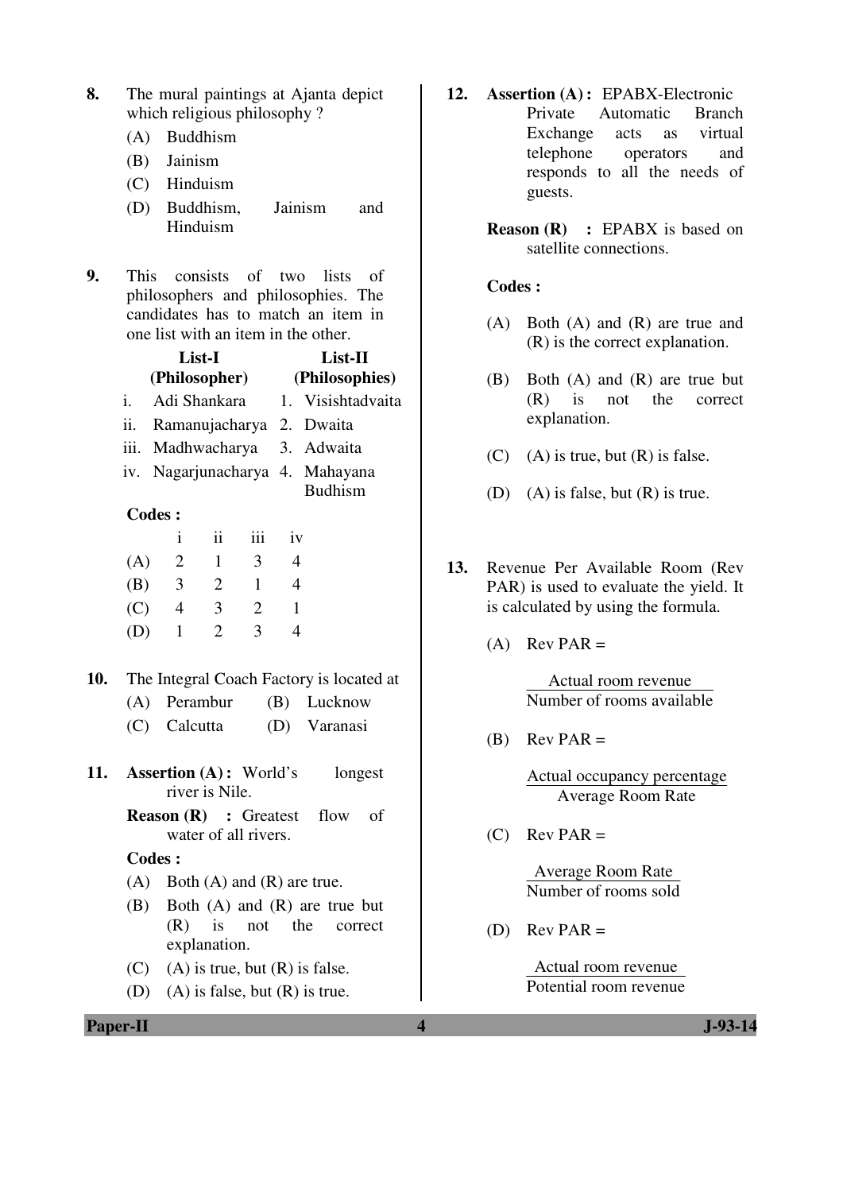- **8.** The mural paintings at Ajanta depict which religious philosophy ?
	- (A) Buddhism
	- (B) Jainism
	- (C) Hinduism
	- (D) Buddhism, Jainism and Hinduism
- **9.** This consists of two lists of philosophers and philosophies. The candidates has to match an item in one list with an item in the other.

|    | List-I<br>(Philosopher)         | $List-II$<br>(Philosophies) |
|----|---------------------------------|-----------------------------|
| i. | Adi Shankara                    | 1. Visishtadvaita           |
|    | ii. Ramanujacharya 2. Dwaita    |                             |
|    | iii. Madhwacharya 3. Adwaita    |                             |
|    | iv. Nagarjunacharya 4. Mahayana |                             |
|    |                                 | <b>Budhism</b>              |
|    | <b>Codes:</b>                   |                             |

|     | 1 | 11           | iii | 1V |
|-----|---|--------------|-----|----|
| (A) | 2 | I            | 3   |    |
| (B) | 3 | $\mathbf{2}$ | 1   |    |
| (C) | 4 | 3            | 2   |    |
| (D) |   | 2            | 3   |    |

- **10.** The Integral Coach Factory is located at
	- (A) Perambur (B) Lucknow
	- (C) Calcutta (D) Varanasi
- **11. Assertion (A) :** World's longest river is Nile.
	- **Reason (R) :** Greatest flow of water of all rivers.

#### **Codes :**

- $(A)$  Both  $(A)$  and  $(R)$  are true.
- (B) Both (A) and (R) are true but (R) is not the correct explanation.
- $(C)$  (A) is true, but  $(R)$  is false.
- (D) (A) is false, but (R) is true.

**12. Assertion (A) :** EPABX-Electronic Private Automatic Branch Exchange acts as virtual telephone operators and responds to all the needs of guests.

> **Reason (R) :** EPABX is based on satellite connections.

#### **Codes :**

- (A) Both (A) and (R) are true and (R) is the correct explanation.
- (B) Both (A) and (R) are true but (R) is not the correct explanation.
- $(C)$  (A) is true, but  $(R)$  is false.
- (D) (A) is false, but  $(R)$  is true.
- **13.** Revenue Per Available Room (Rev PAR) is used to evaluate the yield. It is calculated by using the formula.
	- $(A)$  Rev PAR =

Actual room revenue Number of rooms available

 $(B)$  Rev PAR =

Actual occupancy percentage Average Room Rate

 $(C)$  Rev PAR =

Average Room Rate Number of rooms sold

(D) Rev PAR  $=$ 

Actual room revenue Potential room revenue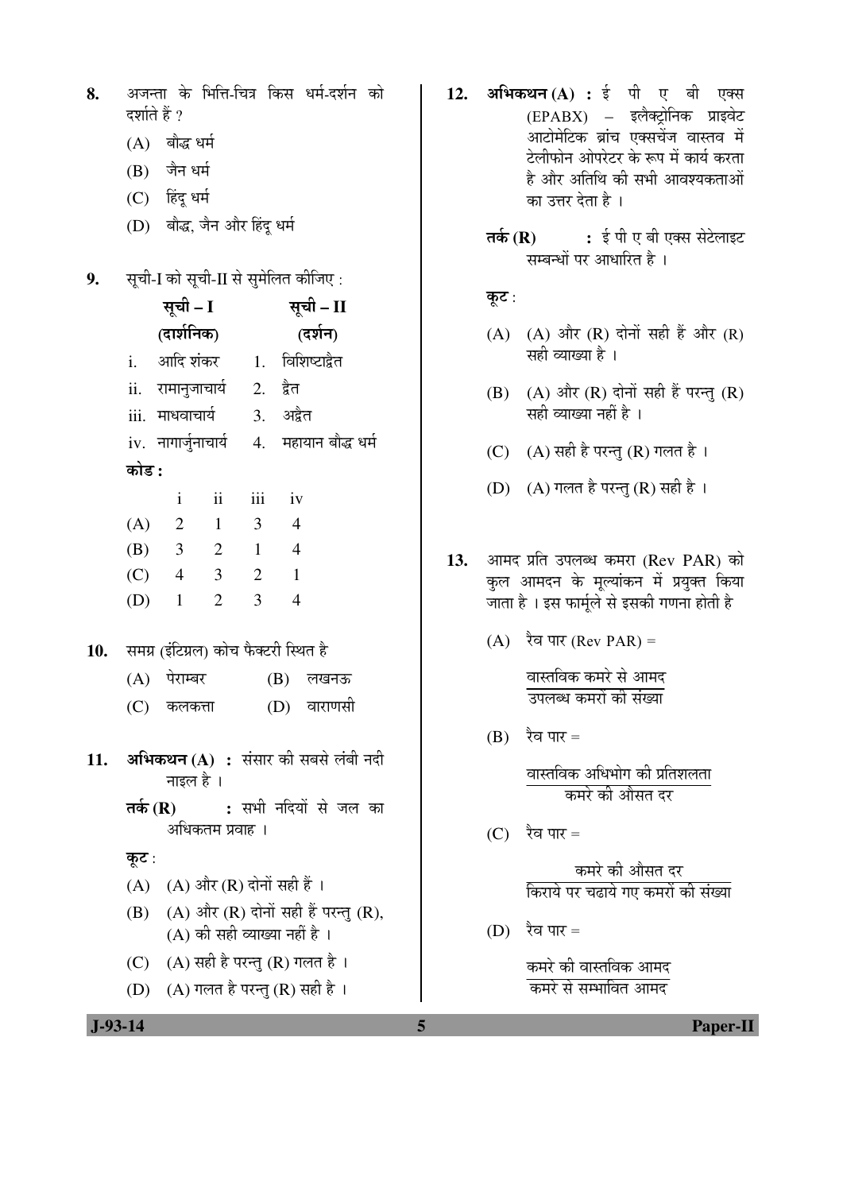| 8. |               | अजन्ता के भित्ति-चित्र किस धर्म-दर्शन को |  |  |
|----|---------------|------------------------------------------|--|--|
|    | दर्शाते हैं ? |                                          |  |  |

- $(A)$  बौद्ध धर्म
- (B) जैन धर्म
- (C) हिंदू धर्म
- (D) बौद्ध, जैन और हिंद धर्म

9. सूची-I को सूची-II से सुमेलित कीजिए :

|     |                                                   | सूची - I        |                                       | सूची – II      |                |                                          |  |
|-----|---------------------------------------------------|-----------------|---------------------------------------|----------------|----------------|------------------------------------------|--|
|     |                                                   | (दार्शनिक)      |                                       | (दर्शन)        |                |                                          |  |
|     |                                                   | i. आदि शंकर     |                                       | 1.             |                | विशिष्टाद्वैत                            |  |
|     |                                                   |                 | ii. रामानुजाचार्य                     |                | 2. द्वेत       |                                          |  |
|     |                                                   | iii. माधवाचार्य |                                       |                | 3. अद्वैत      |                                          |  |
|     |                                                   |                 | iv. नागार्जुनाचार्य                   |                |                | 4. महायान बौद्ध धर्म                     |  |
|     | कोड :                                             |                 |                                       |                |                |                                          |  |
|     |                                                   | $\mathbf{i}$    | $\ddot{\mathbf{i}}$                   | iii            | iv             |                                          |  |
|     | $(A)$ 2                                           |                 | $\overline{1}$                        | $\mathfrak{Z}$ | $\overline{4}$ |                                          |  |
|     | (B) 3                                             |                 | 2                                     | $\overline{1}$ | $\overline{4}$ |                                          |  |
|     | $(C)$ 4                                           |                 | $\overline{\mathbf{3}}$               | 2              | $\overline{1}$ |                                          |  |
|     | $(D)$ 1                                           |                 | $\overline{2}$                        | $\overline{3}$ | $\overline{4}$ |                                          |  |
| 10. |                                                   |                 | समग्र (इंटिग्रल) कोच फैक्टरी स्थित है |                |                |                                          |  |
|     |                                                   | (A) पेराम्बर    |                                       |                |                | (B) लखनऊ                                 |  |
|     |                                                   | (C) कलकत्ता     |                                       |                |                | (D) वाराणसी                              |  |
| 11. |                                                   | नाइल है ।       |                                       |                |                | अभिकथन (A) : संसार की सबसे लंबी नदी      |  |
|     | तर्क (R) : सभी नदियों से जल का<br>अधिकतम प्रवाह । |                 |                                       |                |                |                                          |  |
|     | कूट :                                             |                 |                                       |                |                |                                          |  |
|     |                                                   |                 | (A) (A) और (R) दोनों सही हैं ।        |                |                |                                          |  |
|     |                                                   |                 |                                       |                |                | (B) (A) और (R) दोनों सही हैं परन्तु (R), |  |
|     |                                                   |                 | (A) की सही व्याख्या नहीं है ।         |                |                |                                          |  |
|     |                                                   |                 | (C) (A) सही है परन्तु (R) गलत है ।    |                |                |                                          |  |

(D)  $(A)$  गलत है परन्तु (R) सही है ।

- 12. अभिकथन (A) : ई पी ए बी एक्स (EPABX) – इलैक्ट्रोनिक प्राइवेट आटोमेटिक ब्रांच एक्सचेंज वास्तव में टेलीफोन ओपरेटर के रूप में कार्य करता है और अतिथि की सभी आवश्यकताओं का उत्तर देता है।
	- **तर्क (R) :** ई पी ए बी एक्स सेटेलाइट सम्बन्धों पर आधारित है ।

#### कूट :

- (A) (A) और  $(R)$  दोनों सही हैं और  $(R)$ सही व्याख्या है ।
- $(B)$   $(A)$  और  $(R)$  दोनों सही हैं परन्तु  $(R)$  $\overline{R}$ सही व्याख्या नहीं है।
- $(C)$   $(A)$  सही है परन्तु  $(R)$  गलत है।
- $(D)$   $(A)$  गलत है परन्तु  $(R)$  सही है ।
- 13. आमद प्रति उपलब्ध कमरा (Rev PAR) को कुल आमदन के मुल्यांकन में प्रयुक्त किया जाता है । इस फार्मूले से इसकी गणना होती है
	- $(A)$  रैव पार (Rev PAR) =

वास्तविक कमरे से आमद <u>उपलब्ध कमरों की संख्या</u>

 $(B)$  रैव पार =

वास्तविक अधिभोग की प्रतिशलता <u>कमरे की औसत दर</u>

(C) रैव पार =

कमरे की औसत दर <u>किराये पर चढाये गए कमरों की संख्या</u>

(D) रैव पार =

कमरे की वास्तविक आमद <u>कमरे से सम्भावित आमद</u>

 **J-93-14 5 Paper-II**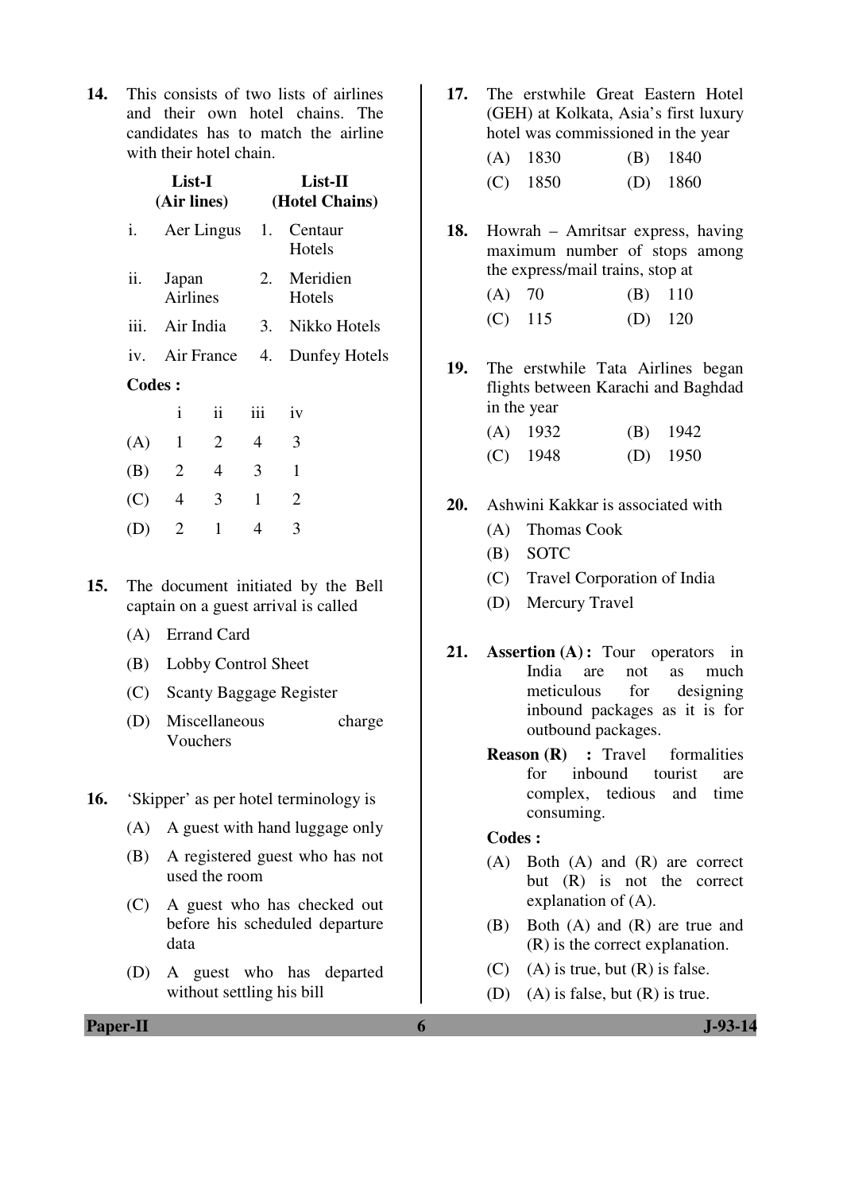**14.** This consists of two lists of airlines and their own hotel chains. The candidates has to match the airline with their hotel chain.

|               | List-I                     | (Air lines)       | List-II<br>(Hotel Chains) |                    |  |  |
|---------------|----------------------------|-------------------|---------------------------|--------------------|--|--|
| i.            |                            | Aer Lingus 1.     |                           | Centaur<br>Hotels  |  |  |
| ii.           | Japan<br>Airlines          |                   | 2.                        | Meridien<br>Hotels |  |  |
|               | iii. Air India             |                   |                           | 3. Nikko Hotels    |  |  |
|               |                            | iv. Air France 4. |                           | Dunfey Hotels      |  |  |
| <b>Codes:</b> |                            |                   |                           |                    |  |  |
|               | $\mathbf{i}$               | $\ddot{\rm n}$    | iii                       | iv                 |  |  |
| (A)           | $\mathbf{1}$               | 2                 | 4                         | 3                  |  |  |
| (B)           | $\overline{\phantom{0}}^2$ | 4                 | 3                         | $\mathbf{1}$       |  |  |
| (C)           | 4                          | 3                 | $\mathbf{1}$              | $\overline{2}$     |  |  |
|               | $\overline{2}$             | 1                 | 4                         | 3                  |  |  |
|               |                            |                   |                           |                    |  |  |

- **15.** The document initiated by the Bell captain on a guest arrival is called
	- (A) Errand Card
	- (B) Lobby Control Sheet
	- (C) Scanty Baggage Register
	- (D) Miscellaneous charge Vouchers
- **16.** 'Skipper' as per hotel terminology is
	- (A) A guest with hand luggage only
	- (B) A registered guest who has not used the room
	- (C) A guest who has checked out before his scheduled departure data
	- (D) A guest who has departed without settling his bill

**17.** The erstwhile Great Eastern Hotel (GEH) at Kolkata, Asia's first luxury hotel was commissioned in the year

| $(A)$ 1830 | $(B)$ 1840 |
|------------|------------|
| $(C)$ 1850 | $(D)$ 1860 |

- **18.** Howrah Amritsar express, having maximum number of stops among the express/mail trains, stop at
	- (A) 70 (B) 110 (C) 115 (D) 120
- **19.** The erstwhile Tata Airlines began flights between Karachi and Baghdad in the year
	- (A) 1932 (B) 1942 (C) 1948 (D) 1950
- **20.** Ashwini Kakkar is associated with
	- (A) Thomas Cook
	- (B) SOTC
	- (C) Travel Corporation of India
	- (D) Mercury Travel
- **21. Assertion (A) :** Tour operators in India are not as much meticulous for designing inbound packages as it is for outbound packages.
	- **Reason (R) :** Travel formalities for inbound tourist are complex, tedious and time consuming.

#### **Codes :**

- (A) Both (A) and (R) are correct but (R) is not the correct explanation of (A).
- (B) Both (A) and (R) are true and (R) is the correct explanation.
- $(C)$  (A) is true, but  $(R)$  is false.
- (D) (A) is false, but (R) is true.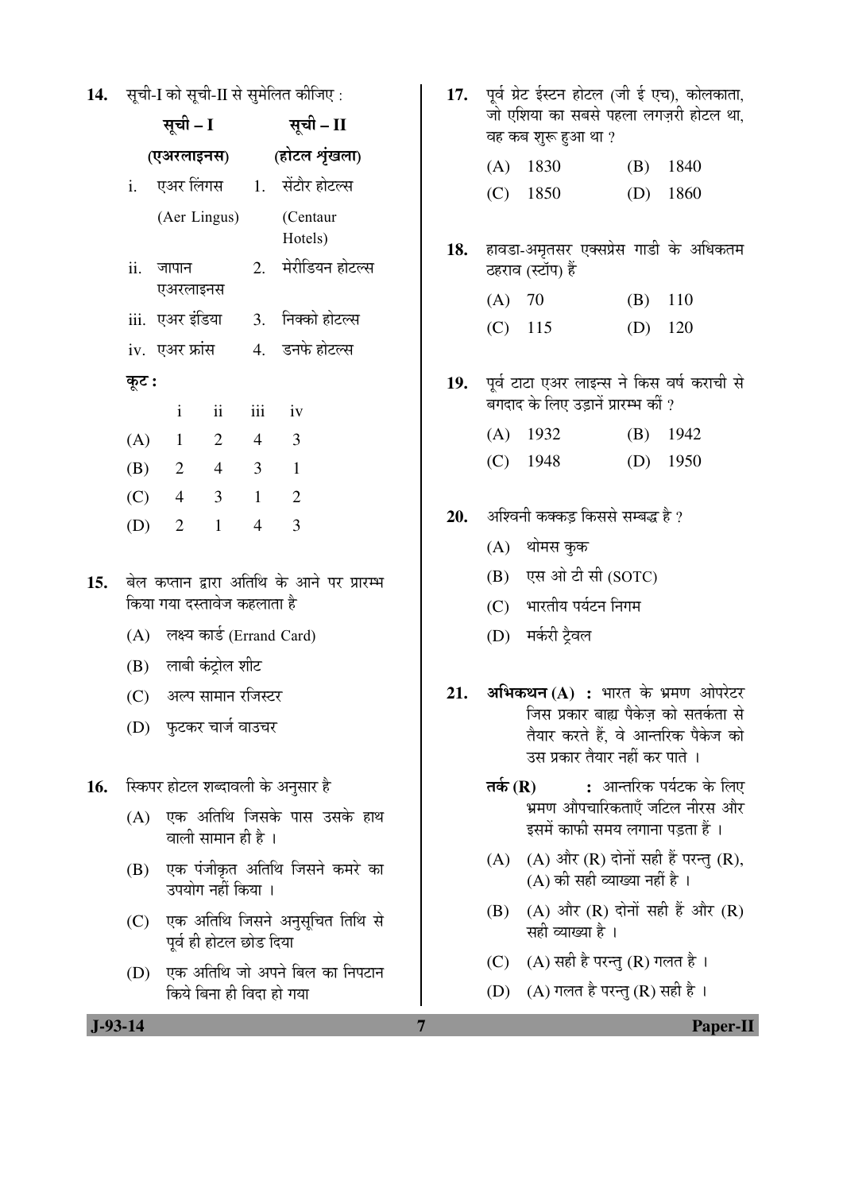14. सूची-I को सूची-II से सुमेलित कीजिए:

|     |       | सूची – I                       |                         | सूची – II      |                                            |  |
|-----|-------|--------------------------------|-------------------------|----------------|--------------------------------------------|--|
|     |       | (एअरलाइनस)                     |                         |                | (होटल शृंखला)                              |  |
|     |       |                                |                         |                | i. एअर <i>लिंगस</i> 1. सेंटौर होटल्स       |  |
|     |       |                                | (Aer Lingus)            |                | (Centaur<br>Hotels)                        |  |
|     |       | ii. जापान<br>एअरलाइनस          |                         |                | 2. मेरीडियन होटल्स                         |  |
|     |       |                                |                         |                | iii. एअर इंडिया     3.   निक्को होटल्स     |  |
|     |       |                                |                         |                | iv. एअर फ्रांस 4. डनफे होटल्स              |  |
|     | कूट : |                                |                         |                |                                            |  |
|     |       | $\mathbf{i}$                   | $\overline{\mathbf{i}}$ |                | iii iv                                     |  |
|     |       | $(A)$ 1 2 4 3                  |                         |                |                                            |  |
|     |       | $(B)$ 2 4 3 1                  |                         |                |                                            |  |
|     |       | $(C)$ 4 3                      |                         | $\overline{1}$ | $\overline{2}$                             |  |
|     |       | (D) 2                          | $\mathbf{1}$            | $\overline{4}$ | 3                                          |  |
| 15. |       | किया गया दस्तावेज कहलाता है    |                         |                | बेल कप्तान द्वारा अतिथि के आने पर प्रारम्भ |  |
|     |       | (A) लक्ष्य कार्ड (Errand Card) |                         |                |                                            |  |
|     |       | (B) लाबी कंट्रोल शीट           |                         |                |                                            |  |
|     |       | (C) अल्प सामान रजिस्टर         |                         |                |                                            |  |
|     |       | (D) फुटकर चार्ज वाउचर          |                         |                |                                            |  |
| 16. |       |                                |                         |                | स्किपर होटल शब्दावली के अनुसार है          |  |
|     | (A)   |                                | वाली सामान ही है ।      |                | एक अतिथि जिसके पास उसके हाथ                |  |
|     |       |                                | उपयोग नहीं किया ।       |                | (B) एक पंजीकृत अतिथि जिसने कमरे का         |  |
|     |       |                                | पूर्व ही होटल छोड दिया  |                | (C) एक अतिथि जिसने अनुसूचित तिथि से        |  |

 $(D)$  एक अतिथि जो अपने बिल का निपटान <u>किये बिना ही विदा हो गया</u>

- 17. पूर्व ग्रेट ईस्टन होटल (जी ई एच), कोलकाता, जो एशिया का सबसे पहला लगज़री होटल था, वह कब शुरू हुआ था ? (A) 1830 (B) 1840 (C) 1850 (D) 1860 18. हावडा-अमृतसर एक्सप्रेस गाडी के अधिकतम ठहराव (स्टॉप) हैं (A) 70 (B) 110 (C) 115 (D) 120 19. पूर्व टाटा एअर लाइन्स ने किस वर्ष कराची से बगदाद के लिए उड़ानें प्रारम्भ कीं ? (A) 1932 (B) 1942 (C) 1948 (D) 1950 **20.** अश्विनी कक्कड किससे सम्बद्ध है ?  $(A)$  थोमस कुक  $(B)$  एस ओ टी सी  $(SOTC)$ (C) भारतीय पर्यटन निगम (D) मर्करी ट्रैवल
- 21. अभिकथन (A) : भारत के भ्रमण ओपरेटर जिस प्रकार बाह्य पैकेज को सतर्कता से तैयार करते हैं. वे आन्तरिक पैकेज को उस प्रकार तैयार नहीं कर पाते ।
	- **तर्क (R) :** आन्तरिक पर्यटक के लिए .<br>भ्रमण औपचारिकताएँ जटिल नीरस और इसमें काफी समय लगाना पडता हैं ।
	- $(A)$   $(A)$  और  $(R)$  दोनों सही हैं परन्तु  $(R)$ ,  $(A)$  की सही व्याख्या नहीं है ।
	- $(B)$   $(A)$  और  $(R)$  दोनों सही हैं और  $(R)$ सही व्याख्या है ।
	- (C)  $(A)$  सही है परन्तु (R) गलत है।
	- $(D)$   $(A)$  गलत है परन्तु $(R)$  सही है।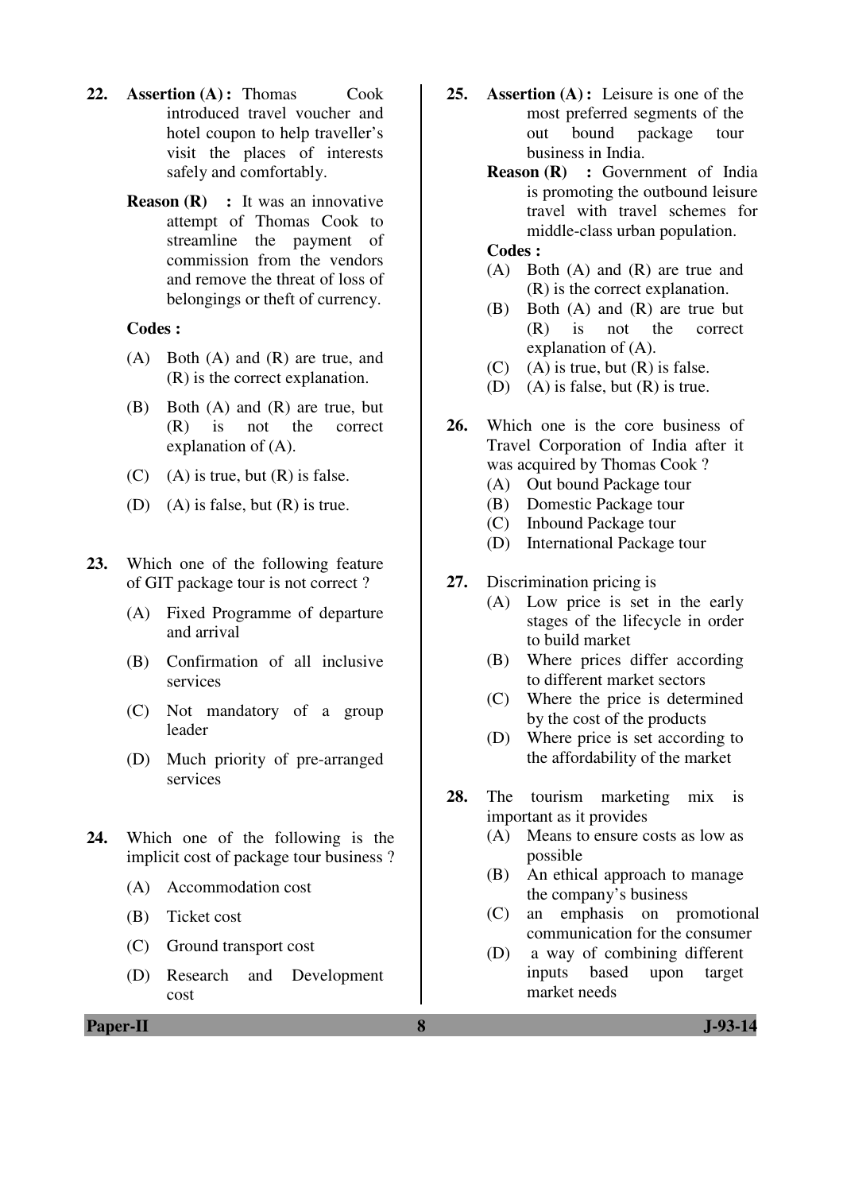- **22. Assertion (A) :** Thomas Cook introduced travel voucher and hotel coupon to help traveller's visit the places of interests safely and comfortably.
	- **Reason (R)** : It was an innovative attempt of Thomas Cook to streamline the payment of commission from the vendors and remove the threat of loss of belongings or theft of currency.

#### **Codes :**

- (A) Both (A) and (R) are true, and (R) is the correct explanation.
- (B) Both (A) and (R) are true, but (R) is not the correct explanation of (A).
- $(C)$  (A) is true, but  $(R)$  is false.
- (D) (A) is false, but (R) is true.
- **23.** Which one of the following feature of GIT package tour is not correct ?
	- (A) Fixed Programme of departure and arrival
	- (B) Confirmation of all inclusive services
	- (C) Not mandatory of a group leader
	- (D) Much priority of pre-arranged services
- **24.** Which one of the following is the implicit cost of package tour business ?
	- (A) Accommodation cost
	- (B) Ticket cost
	- (C) Ground transport cost
	- (D) Research and Development cost
- **25. Assertion (A) :** Leisure is one of the most preferred segments of the out bound package tour business in India.
	- **Reason (R) :** Government of India is promoting the outbound leisure travel with travel schemes for middle-class urban population.

#### **Codes :**

- (A) Both (A) and (R) are true and (R) is the correct explanation.
- (B) Both (A) and (R) are true but (R) is not the correct explanation of (A).
- $(C)$  (A) is true, but  $(R)$  is false.
- (D) (A) is false, but (R) is true.
- **26.** Which one is the core business of Travel Corporation of India after it was acquired by Thomas Cook ?
	- (A) Out bound Package tour
	- (B) Domestic Package tour
	- (C) Inbound Package tour
	- (D) International Package tour
- **27.** Discrimination pricing is
	- (A) Low price is set in the early stages of the lifecycle in order to build market
	- (B) Where prices differ according to different market sectors
	- (C) Where the price is determined by the cost of the products
	- (D) Where price is set according to the affordability of the market
- **28.** The tourism marketing mix is important as it provides
	- (A) Means to ensure costs as low as possible
	- (B) An ethical approach to manage the company's business
	- (C) an emphasis on promotional communication for the consumer
	- (D) a way of combining different inputs based upon target market needs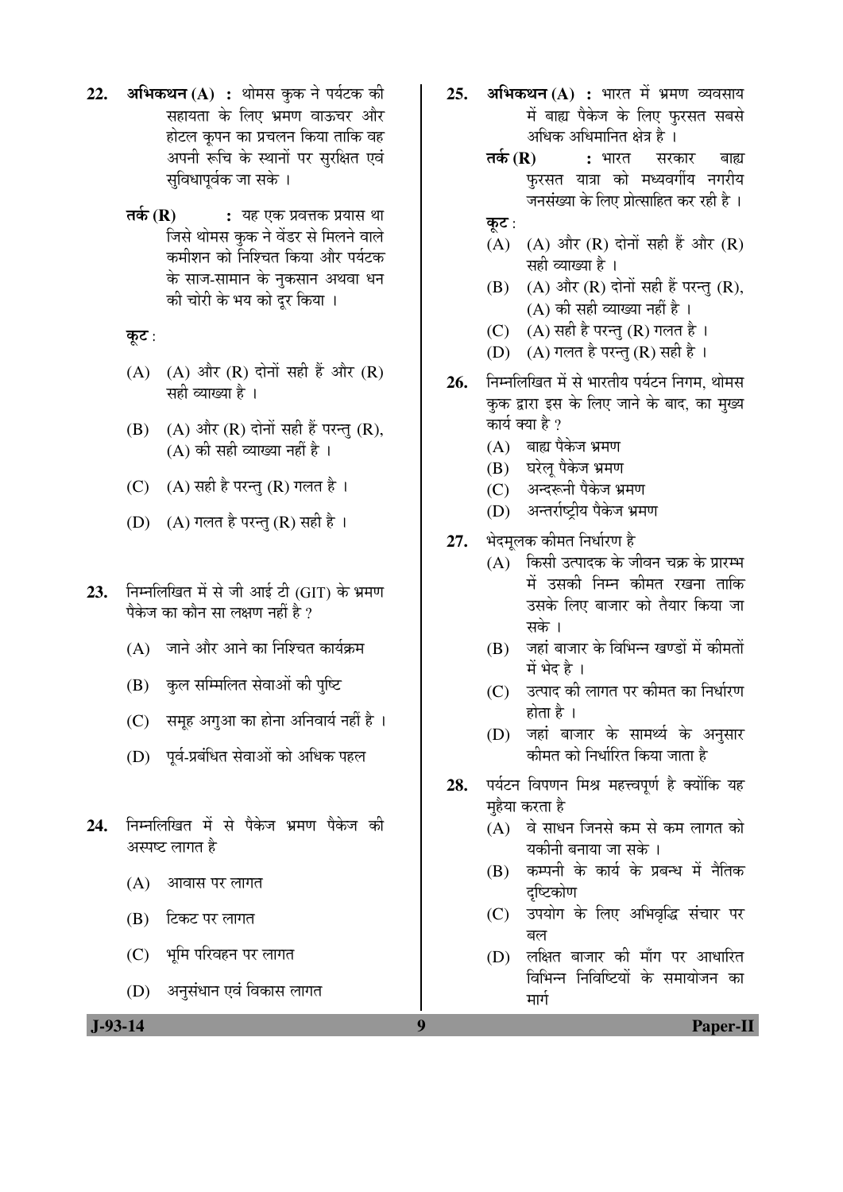- 22. अभिकथन (A) : थोमस कुक ने पर्यटक की सहायता के लिए भ्रमण वाऊचर और होटल कृपन का प्रचलन किया ताकि वह अपनी रूचि के स्थानों पर सुरक्षित एवं सविधापर्वक जा सके ।
	- $\overline{\mathsf{a}}$ के (R) : यह एक प्रवत्तक प्रयास था जिसे थोमस कुक ने वेंडर से मिलने वाले कमीशन को निश्चित किया और पर्यटक के साज-सामान के नुकसान अथवा धन की चोरी के भय को दुर किया ।
	- कूट:
	- $(A)$   $(A)$  और  $(R)$  दोनों सही हैं और  $(R)$ सही व्याख्या है ।
	- $(B)$   $(A)$  और  $(R)$  दोनों सही हैं परन्तु  $(R)$ ,  $(A)$  की सही व्याख्या नहीं है ।
	- $(C)$   $(A)$  सही है परन्तु  $(R)$  गलत है ।
	- (D) (A) गलत है परन्तु (R) सही है ।
- 23. Fiम्नलिखित में से जी आई टी (GIT) के भ्रमण पैकेज का कौन सा लक्षण नहीं है ?
	- $(A)$  जाने और आने का निश्चित कार्यक्रम
	- (B) कुल सम्मिलित सेवाओं की पुष्टि
	- $(C)$  समह अगआ का होना अनिवार्य नहीं है ।
	- (D) पर्व-प्रबंधित सेवाओं को अधिक पहल
- 24. निम्नलिखित में से पैकेज भ्रमण पैकेज की अस्पष्ट लागत है
	- $(A)$  आवास पर लागत
	- (B) हिकट पर लागत
	- (C) भूमि परिवहन पर लागत
	- (D) अनुसंधान एवं विकास लागत
- **25. अभिकथन (A) :** भारत में भ्रमण व्यवसाय में बाह्य पैकेज के लिए फुरसत सबसे अधिक अधिमानित क्षेत्र है ।
	- **तर्क (R) :** भारत सरकार बाह्य फुरसत यात्रा को मध्यवर्गीय नगरीय जनसंख्या के लिए प्रोत्साहित कर रही है ।
	- कूट :
	- $(A)$   $(A)$  और  $(R)$  दोनों सही हैं और  $(R)$ सही व्याख्या है ।
	- $(B)$   $(A)$  और  $(R)$  दोनों सही हैं परन्तु  $(R)$ ,  $(A)$  की सही व्याख्या नहीं है ।
	- (C)  $(A)$  सही है परन्तु (R) गलत है ।
	- $(D)$   $(A)$  गलत है परन्तु  $(R)$  सही है ।
- 26. FEH**लिखित में से भारतीय पर्यटन निगम.** थोमस कुक द्वारा इस के लिए जाने के बाद, का मुख्य कार्य क्या है ?
	- $(A)$  बाह्य पैकेज भ्रमण
	- (B) घरेल् पैकेज भ्रमण
	- (C) अन्दरूनी पैकेज भ्रमण
	- (D) अन्तर्राष्ट्रीय पैकेज भ्रमण
- 27. भेदमुलक कीमत निर्धारण है
	- $(A)$  किसी उत्पादक के जीवन चक्र के प्रारम्भ में उसकी निम्न कीमत रखना ताकि उसके लिए बाजार को तैयार किया जा सके ।
	- $(B)$  जहां बाजार के विभिन्न खण्डों में कीमतों में भेद है ।
	- (C) उत्पाद की लागत पर कीमत का निर्धारण होता है $\,$  ।
	- (D) जहां बाजार के सामर्थ्य के अनुसार कीमत को निर्धारित किया जाता है
- 28. पर्यटन विपणन मिश्र महत्त्वपर्ण है क्योंकि यह महैया करता है
	- (A) वे साधन जिनसे कम से कम लागत को यकीनी बनाया जा सके ।
	- $(B)$  कम्पनी के कार्य के प्रबन्ध में नैतिक दष्टिकोण
	- (C) उपयोग के लिए अभिवृद्धि संचार पर बल
	- $(D)$  लक्षित बाजार की माँग पर आधारित विभिन्न निविष्टियों के समायोजन का मार्ग

 **J-93-14 9 Paper-II**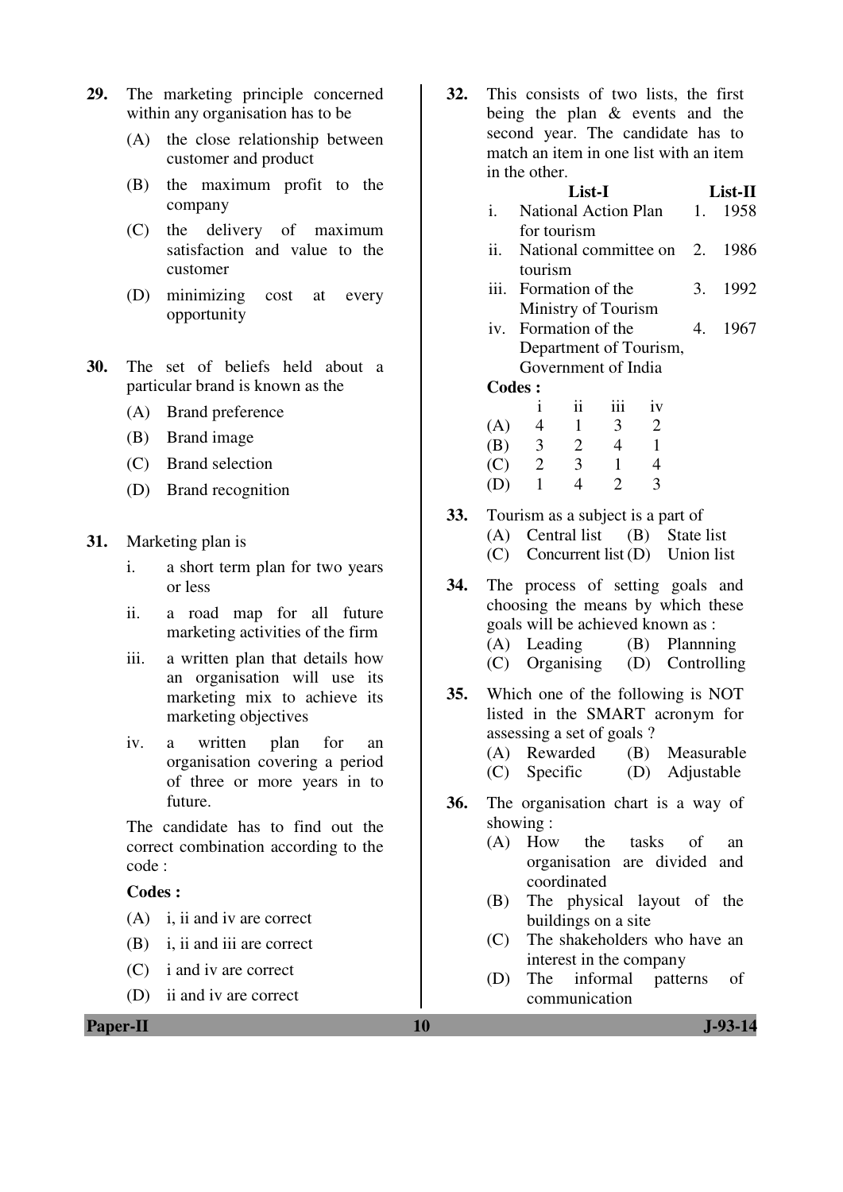- **29.** The marketing principle concerned within any organisation has to be
	- (A) the close relationship between customer and product
	- (B) the maximum profit to the company
	- (C) the delivery of maximum satisfaction and value to the customer
	- (D) minimizing cost at every opportunity
- **30.** The set of beliefs held about a particular brand is known as the
	- (A) Brand preference
	- (B) Brand image
	- (C) Brand selection
	- (D) Brand recognition
- **31.** Marketing plan is
	- i. a short term plan for two years or less
	- ii. a road map for all future marketing activities of the firm
	- iii. a written plan that details how an organisation will use its marketing mix to achieve its marketing objectives
	- iv. a written plan for an organisation covering a period of three or more years in to future.

 The candidate has to find out the correct combination according to the code :

### **Codes :**

- (A) i, ii and iv are correct
- (B) i, ii and iii are correct
- (C) i and iv are correct
- (D) ii and iv are correct

**32.** This consists of two lists, the first being the plan & events and the second year. The candidate has to match an item in one list with an item in the other.

#### **List-I List-II**  i. National Action Plan for tourism 1. 1958 ii. National committee on tourism 2. 1986 iii. Formation of the Ministry of Tourism 3. 1992 iv. Formation of the Department of Tourism, Government of India 4. 1967  **Codes :**  i ii iii iv (A)  $4$  1 3 2<br>(B)  $3$  2 4 1 (B) 3 2 4 1 (C) 2 3 1 4 (D) 1 4 2 3

- **33.** Tourism as a subject is a part of (A) Central list (B) State list (C) Concurrent list (D) Union list
- **34.** The process of setting goals and choosing the means by which these goals will be achieved known as : (A) Leading (B) Plannning (C) Organising (D) Controlling
- **35.** Which one of the following is NOT listed in the SMART acronym for assessing a set of goals ?
	- (A) Rewarded (B) Measurable
	- (C) Specific (D) Adjustable
- **36.** The organisation chart is a way of showing :
	- (A) How the tasks of an organisation are divided and coordinated
	- (B) The physical layout of the buildings on a site
	- (C) The shakeholders who have an interest in the company
	- (D) The informal patterns of communication

**Paper-II** J-93-14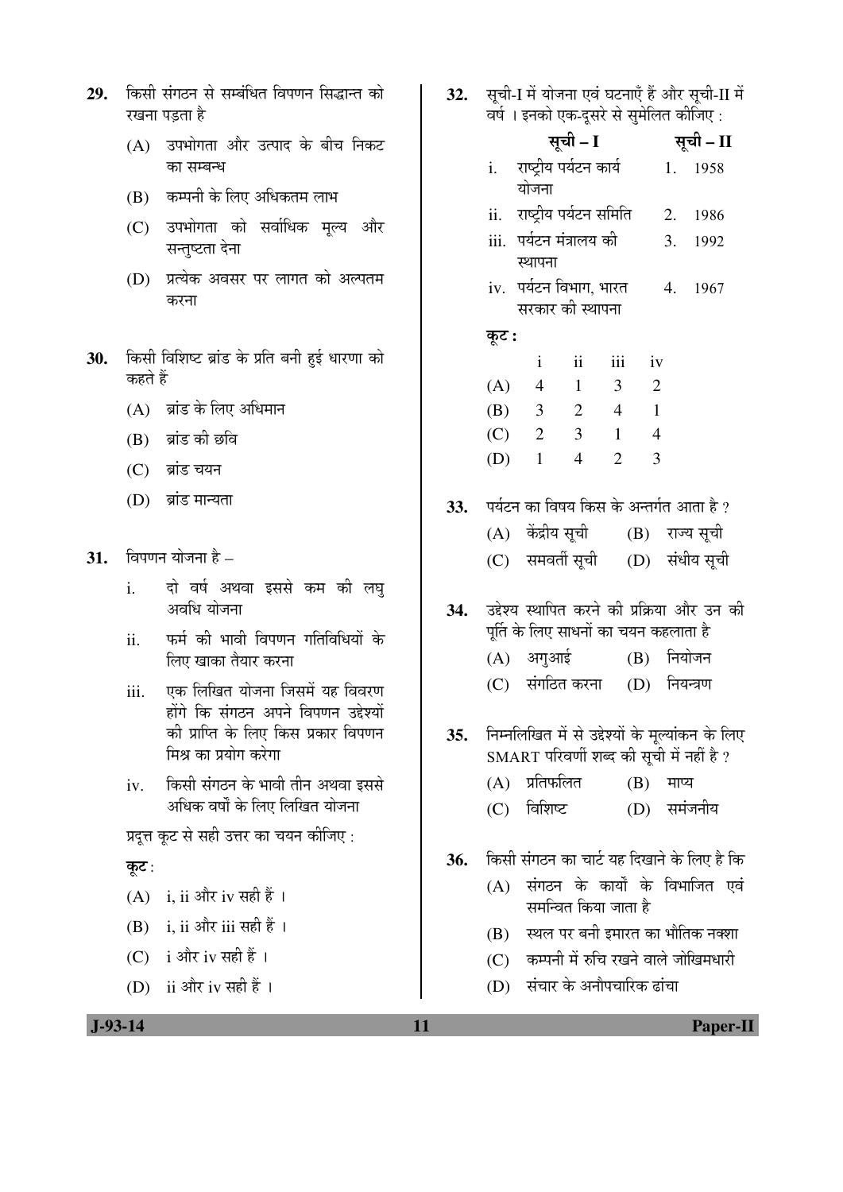- 29. किसी संगठन से सम्बंधित विपणन सिद्धान्त को रखना पडता है
	- (A) उपभोगता और उत्पाद के बीच निकट का सम्बन्ध
	- (B) कम्पनी के लिए अधिकतम लाभ
	- (C) उपभोगता को सर्वाधिक मूल्य और सन्तुष्टता देना
	- (D) प्रत्येक अवसर पर लागत को अल्पतम करना
- 30. किसी विशिष्ट ब्रांड के प्रति बनी हुई धारणा को कहते हैं
	- $(A)$  ब्रांड के लिए अधिमान
	- $(B)$  ब्रांड की छवि
	- (C) ब्रांड चयन
	- $(D)$  ब्रांड मान्यता
- **31.** विपणन योजना है
	- i. दो वर्ष अथवा इससे कम की लघु अवधि योजना
	- ii. फर्म की भावी विपणन गतिविधियों के लिए खाका तैयार करना
	- iii. एक लिखित योजना जिसमें यह विवरण होंगे कि संगठन अपने विपणन उद्देश्यों की प्राप्ति के लिए किस प्रकार विपणन मिश्र का प्रयोग करेगा
	- iv. किसी संगठन के भावी तीन अथवा इससे अधिक वर्षों के लिए लिखित योजना
	- प्रदुत्त कूट से सही उत्तर का चयन कीजिए :

#### कूट:

- $(A)$  i, ii और iv सही हैं।
- $(B)$  i, ii और iii सही हैं।
- (C) i और iv सही हैं।
- (D) ii और iv सही हैं।

32. सूची-I में योजना एवं घटनाएँ हैं और सूची-II में वर्ष । इनको एक-दूसरे से सुमेलित कीजिए :

|     |         | वर्ष । इनका एक-दूसर स सुमालत काजिए :                   |                         |                         |                            |    |             |  |
|-----|---------|--------------------------------------------------------|-------------------------|-------------------------|----------------------------|----|-------------|--|
|     |         |                                                        | सूची – I                |                         |                            |    | सूची – II   |  |
|     |         | i.     राष्ट्रीय पर्यटन कार्य                          |                         |                         |                            | 1. | 1958        |  |
|     |         | योजना                                                  |                         |                         |                            |    |             |  |
|     |         | ii. राष्ट्रीय पर्यटन समिति                             |                         |                         | 2.                         |    | 1986        |  |
|     |         | iii.  पर्यटन मंत्रालय की                               |                         |                         |                            | 3. | 1992        |  |
|     |         | स्थापना                                                |                         |                         |                            |    |             |  |
|     |         | iv. पर्यटन विभाग, भारत        4.    1967               |                         |                         |                            |    |             |  |
|     |         | सरकार की स्थापना                                       |                         |                         |                            |    |             |  |
|     | कूट :   |                                                        |                         |                         |                            |    |             |  |
|     |         | $\mathbf{i}$                                           | $\overline{\mathbf{u}}$ | iii                     | iv                         |    |             |  |
|     |         | (A) 4 1                                                |                         | $\overline{\mathbf{3}}$ | $\overline{\phantom{0}}^2$ |    |             |  |
|     |         | (B) $3 \t2 \t4 \t1$                                    |                         |                         |                            |    |             |  |
|     |         | $(C)$ 2 3                                              |                         | $\blacksquare$          | $\overline{4}$             |    |             |  |
|     | $(D)$ 1 |                                                        | $\overline{4}$          | $\overline{2}$          | $\overline{\mathbf{3}}$    |    |             |  |
|     |         |                                                        |                         |                         |                            |    |             |  |
| 33. |         | पर्यटन का विषय किस के अन्तर्गत आता है ?                |                         |                         |                            |    |             |  |
|     |         | (A) केंद्रीय सूची      (B)   राज्य सूची                |                         |                         |                            |    |             |  |
|     |         | (C) समवर्ती सूची (D) संधीय सूची                        |                         |                         |                            |    |             |  |
|     |         |                                                        |                         |                         |                            |    |             |  |
| 34. |         | उद्देश्य स्थापित करने की प्रक्रिया और उन की            |                         |                         |                            |    |             |  |
|     |         | पूर्ति के लिए साधनों का चयन कहलाता है                  |                         |                         |                            |    |             |  |
|     |         | (A) अगुआई (B) नियोजन                                   |                         |                         |                            |    |             |  |
|     |         | (C) संगठित करना (D) नियन्त्रण                          |                         |                         |                            |    |             |  |
|     |         |                                                        |                         |                         |                            |    |             |  |
|     |         | 35.   निम्नलिखित में से उद्देश्यों के मूल्यांकन के लिए |                         |                         |                            |    |             |  |
|     |         | SMART परिवर्णी शब्द की सूची में नहीं है ?              |                         |                         |                            |    |             |  |
|     |         | (A) प्रतिफलित                                          |                         |                         | $(B)$ माप्य                |    |             |  |
|     |         | (C) विशिष्ट                                            |                         |                         |                            |    | (D) समंजनीय |  |
|     |         |                                                        |                         |                         |                            |    |             |  |
| 36. |         | किसी संगठन का चार्ट यह दिखाने के लिए है कि             |                         |                         |                            |    |             |  |
|     |         | (A) संगठन के कार्यों के विभाजित एवं                    |                         |                         |                            |    |             |  |
|     |         |                                                        | समन्वित किया जाता है    |                         |                            |    |             |  |
|     |         | (B) स्थल पर बनी इमारत का भौतिक नक्शा                   |                         |                         |                            |    |             |  |
|     |         | (C) कम्पनी में रुचि रखने वाले जोखिमधारी                |                         |                         |                            |    |             |  |
|     |         | (D) संचार के अनौपचारिक ढांचा                           |                         |                         |                            |    |             |  |
|     |         |                                                        |                         |                         |                            |    |             |  |

 **J-93-14 11 Paper-II**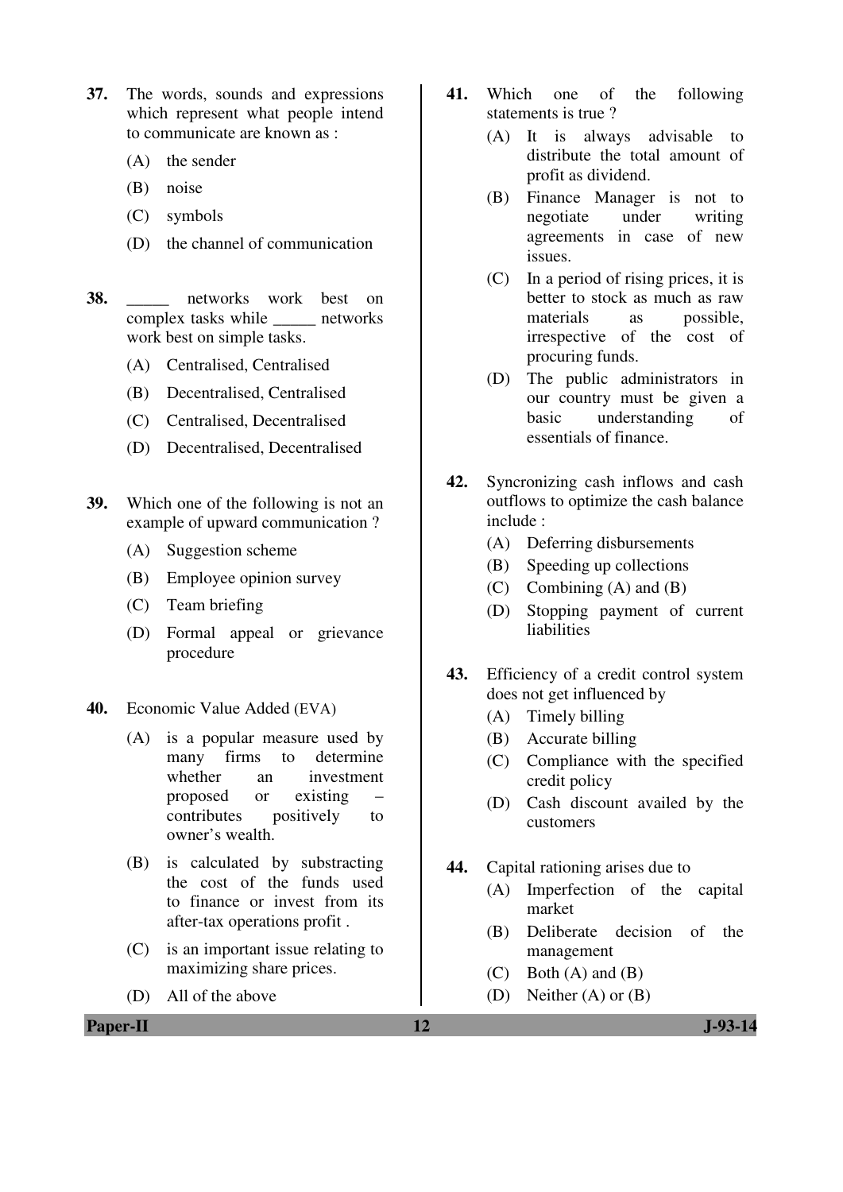- **37.** The words, sounds and expressions which represent what people intend to communicate are known as :
	- (A) the sender
	- (B) noise
	- (C) symbols
	- (D) the channel of communication
- **38. here** networks work best on complex tasks while \_\_\_\_\_ networks work best on simple tasks.
	- (A) Centralised, Centralised
	- (B) Decentralised, Centralised
	- (C) Centralised, Decentralised
	- (D) Decentralised, Decentralised
- **39.** Which one of the following is not an example of upward communication ?
	- (A) Suggestion scheme
	- (B) Employee opinion survey
	- (C) Team briefing
	- (D) Formal appeal or grievance procedure
- **40.** Economic Value Added (EVA)
	- (A) is a popular measure used by many firms to determine whether an investment proposed or existing – contributes positively to owner's wealth.
	- (B) is calculated by substracting the cost of the funds used to finance or invest from its after-tax operations profit .
	- (C) is an important issue relating to maximizing share prices.
	- (D) All of the above
- **41.** Which one of the following statements is true ?
	- (A) It is always advisable to distribute the total amount of profit as dividend.
	- (B) Finance Manager is not to negotiate under writing agreements in case of new issues.
	- (C) In a period of rising prices, it is better to stock as much as raw materials as possible, irrespective of the cost of procuring funds.
	- (D) The public administrators in our country must be given a basic understanding of essentials of finance.
- **42.** Syncronizing cash inflows and cash outflows to optimize the cash balance include :
	- (A) Deferring disbursements
	- (B) Speeding up collections
	- (C) Combining (A) and (B)
	- (D) Stopping payment of current liabilities
- **43.** Efficiency of a credit control system does not get influenced by
	- (A) Timely billing
	- (B) Accurate billing
	- (C) Compliance with the specified credit policy
	- (D) Cash discount availed by the customers
- **44.** Capital rationing arises due to
	- (A) Imperfection of the capital market
	- (B) Deliberate decision of the management
	- $(C)$  Both  $(A)$  and  $(B)$
	- (D) Neither (A) or (B)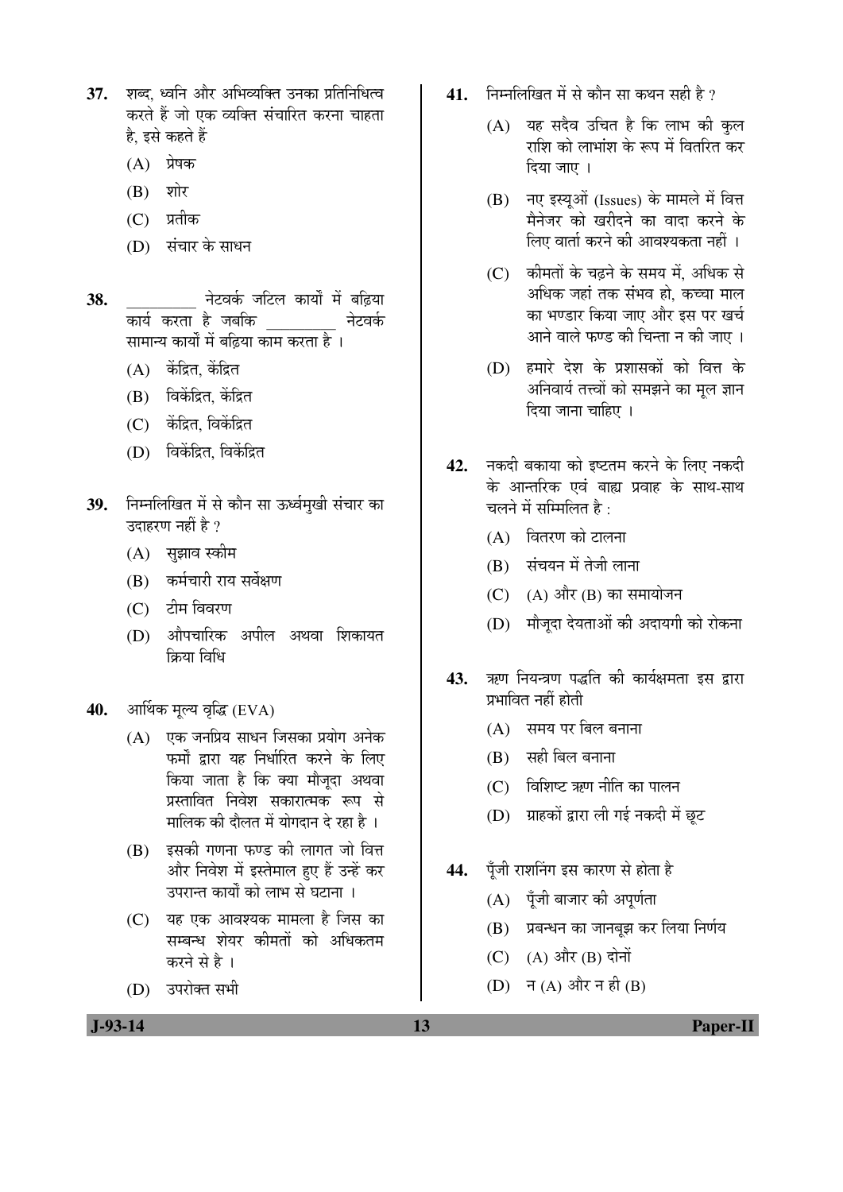- 37. शब्द ध्वनि और अभिव्यक्ति उनका प्रतिनिधित्व करते हैं जो एक व्यक्ति संचारित करना चाहता है, इसे कहते हैं
	- $(A)$  प्रेषक
	- $(B)$  शोर
	- (C) प्रतीक
	- (D) संचार के साधन
- **38.** \_\_\_\_\_\_\_\_\_ ®Öê™ü¾ÖÛÔú •Ö×™ü»Ö ÛúÖµÖÖí ´Öë ²ÖלÌüµÖÖ कार्य करता है जबकि<br> सामान्य कार्यों में बढिया काम करता है ।
	- $(A)$  केंद्रित, केंद्रित
	- $(B)$  विकेंद्रित केंद्रित
	- (C) केंद्रित, विकेंद्रित
	- $(D)$  विकेंद्रित विकेंद्रित
- 39. निम्नलिखित में से कौन सा ऊर्ध्वमुखी संचार का उदाहरण नहीं है ?
	- (A) सुझाव स्कीम
	- (B) कर्मचारी राय सर्वेक्षण
	- (C) टीम विवरण
	- (D) औपचारिक अपील अथवा शिकायत क्रिया विधि
- 40. आर्थिक मल्य वृद्धि (EVA)
	- $(A)$  एक जनप्रिय साधन जिसका प्रयोग अनेक फर्मों द्वारा यह निर्धारित करने के लिए किया जाता है कि क्या मौजूदा अथवा प्रस्तावित निवेश सकारात्मक रूप से <u>मालिक की दौलत में योगदान दे रहा है</u> ।
	- $(B)$  इसकी गणना फण्ड की लागत जो वित्त और निवेश में इस्तेमाल हुए हैं उन्हें कर उपरान्त कार्यों को लाभ से घटाना ।
	- $(C)$  यह एक आवश्यक मामला है जिस का सम्बन्ध शेयर कीमतों को अधिकतम करने से है ।
	- (D) उपरोक्त सभी
- **41.** निम्नलिखित में से कौन सा कथन सही है ?
	- $(A)$  यह सदैव उचित है कि लाभ की कुल राशि को लाभांश के रूप में वितरित कर दिया जाए ।
	- (B) नए इस्यूओं (Issues) के मामले में वित्त मैनेजर को खरीदने का वादा करने के लिए वार्ता करने की आवश्यकता नहीं ।
	- (C) कीमतों के चढने के समय में. अधिक से अधिक जहां तक संभव हो. कच्चा माल का भण्डार किया जाए और इस पर खर्च आने वाले फण्ड की चिन्ता न की जाए ।
	- (D) हमारे देश के प्रशासकों को वित्त के अनिवार्य तत्त्वों को समझने का मल ज्ञान  $f$ दिया जाना चाहिए ।
- 42. नकदी बकाया को इष्टतम करने के लिए नकदी के आन्तरिक एवं बाह्य प्रवाह के साथ-साथ चलने में सम्मिलित है $\cdot$ 
	- $(A)$  वितरण को टालना
	- (B) संचयन में तेजी लाना
	- $(C)$   $(A)$  और  $(B)$  का समायोजन
	- (D) मौजुदा देयताओं की अदायगी को रोकना
- 43. ऋण नियन्त्रण पद्धति की कार्यक्षमता इस द्वारा प्रभावित नहीं होती
	- $(A)$  समय पर बिल बनाना
	- $(B)$  सही बिल बनाना
	- $(C)$  विशिष्ट ऋण नीति का पालन
	- (D) प्राहकों द्वारा ली गई नकदी में छूट
- 44. पूँजी राशनिंग इस कारण से होता है
	- $(A)$  पूँजी बाजार की अपूर्णता
	- (B) प्रबन्धन का जानबूझ कर लिया निर्णय
	- $(C)$   $(A)$  और  $(B)$  दोनों
	- $(D)$   $\exists$   $(A)$  और  $\exists$  ही  $(B)$

 **J-93-14 13 Paper-II**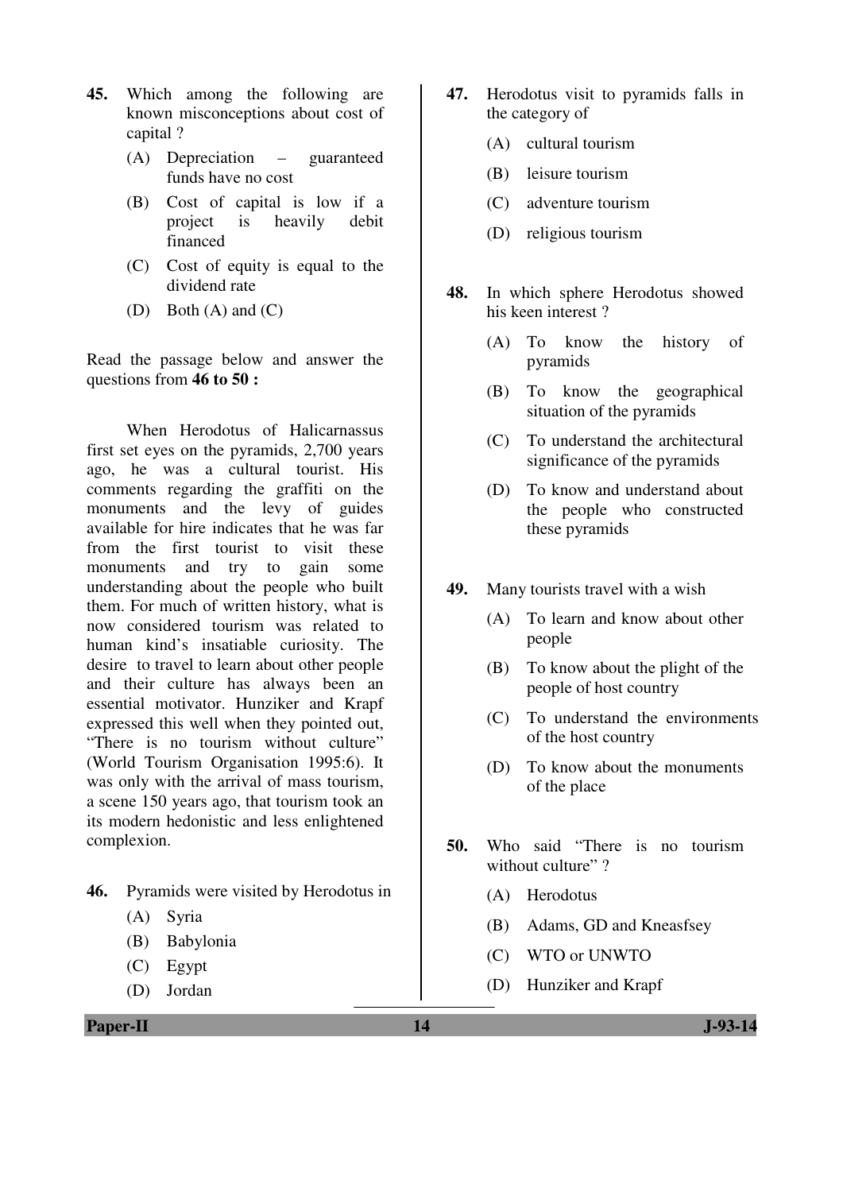- **45.** Which among the following are known misconceptions about cost of capital ?
	- (A) Depreciation guaranteed funds have no cost
	- (B) Cost of capital is low if a project is heavily debit financed
	- (C) Cost of equity is equal to the dividend rate
	- (D) Both (A) and (C)

Read the passage below and answer the questions from **46 to 50 :**

When Herodotus of Halicarnassus first set eyes on the pyramids, 2,700 years ago, he was a cultural tourist. His comments regarding the graffiti on the monuments and the levy of guides available for hire indicates that he was far from the first tourist to visit these monuments and try to gain some understanding about the people who built them. For much of written history, what is now considered tourism was related to human kind's insatiable curiosity. The desire to travel to learn about other people and their culture has always been an essential motivator. Hunziker and Krapf expressed this well when they pointed out, "There is no tourism without culture" (World Tourism Organisation 1995:6). It was only with the arrival of mass tourism, a scene 150 years ago, that tourism took an its modern hedonistic and less enlightened complexion.

- **46.** Pyramids were visited by Herodotus in
	- (A) Syria
	- (B) Babylonia
	- (C) Egypt
	- (D) Jordan
- **47.** Herodotus visit to pyramids falls in the category of
	- (A) cultural tourism
	- (B) leisure tourism
	- (C) adventure tourism
	- (D) religious tourism
- **48.** In which sphere Herodotus showed his keen interest ?
	- (A) To know the history of pyramids
	- (B) To know the geographical situation of the pyramids
	- (C) To understand the architectural significance of the pyramids
	- (D) To know and understand about the people who constructed these pyramids
- **49.** Many tourists travel with a wish
	- (A) To learn and know about other people
	- (B) To know about the plight of the people of host country
	- (C) To understand the environments of the host country
	- (D) To know about the monuments of the place
- **50.** Who said "There is no tourism without culture"?
	- (A) Herodotus
	- (B) Adams, GD and Kneasfsey
	- (C) WTO or UNWTO
	- (D) Hunziker and Krapf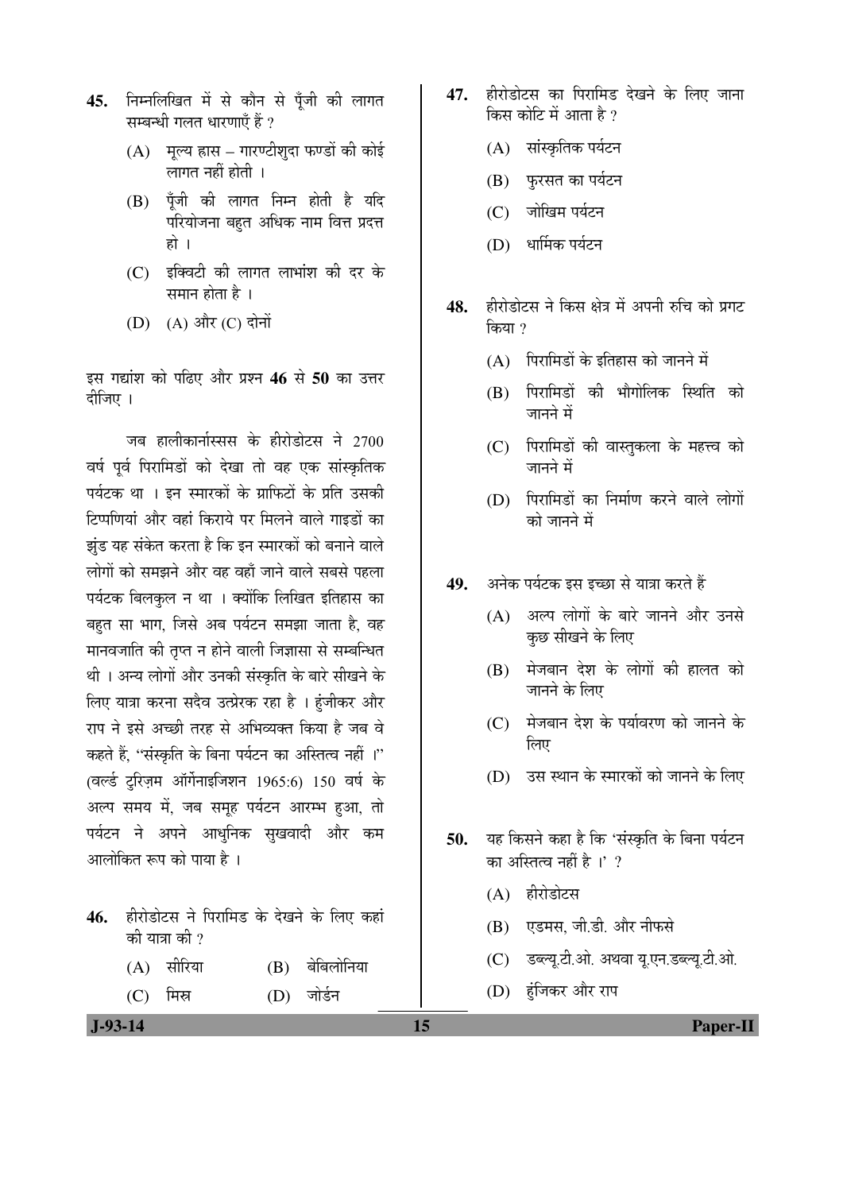- 45. निम्नलिखित में से कौन से पँजी की लागत सम्बन्धी गलत धारणाएँ हैं ?
	- $(A)$  मूल्य ह्रास गारण्टीशुदा फण्डों की कोई लागत नहीं होती $\perp$
	- $(B)$  पूँजी की लागत निम्न होती है यदि परियोजना बहुत अधिक नाम वित्त प्रदत्त हो ।
	- $(C)$  इक्विटी की लागत लाभांश की दर के समान होता है $\,$ ।
	- (D) (A) और (C) दोनों

इस गद्यांश को पढिए और प्रश्न 46 से 50 का उत्तर दीजिए ।

जब हालीकार्नास्सस के हीरोडोटस ने 2700 वर्ष पूर्व पिरामिडों को देखा तो वह एक सांस्कृतिक पर्यटक था । इन स्मारकों के ग्राफिटों के प्रति उसकी टिप्पणियां और वहां किराये पर मिलने वाले गाइडों का झुंड यह संकेत करता है कि इन स्मारकों को बनाने वाले लोगों को समझने और वह वहाँ जाने वाले सबसे पहला पर्यटक बिलकृल न था । क्योंकि लिखित इतिहास का बहुत सा भाग, जिसे अब पर्यटन समझा जाता है, वह मानवजाति की तुप्त न होने वाली जिज्ञासा से सम्बन्धित थी । अन्य लोगों और उनकी संस्कृति के बारे सीखने के लिए यात्रा करना सदैव उत्प्रेरक रहा है । हंजीकर और राप ने इसे अच्छी तरह से अभिव्यक्त किया है जब वे कहते हैं, "संस्कृति के बिना पर्यटन का अस्तित्व नहीं ।"  $($ वर्ल्ड ट्रिज़म ऑर्गेनाइजिशन 1965:6) 150 वर्ष के अल्प समय में, जब समूह पर्यटन आरम्भ हुआ, तो पर्यटन ने अपने आधुनिक सुखवादी और कम आलोकित रूप को पाया है ।

- 46. हीरोडोटस ने पिरामिड के देखने के लिए कहां की यात्रा की ?
	- (A) सीरिया (B) बेबिलोनिया
	- (C) मिस्र (D) जोर्डन
- 47. हीरोडोटस का पिरामिड देखने के लिए जाना किस कोटि में आता है ?
	- (A) सांस्कृतिक पर्यटन
	- (B) फुरसत का पर्यटन
	- (C) जोखिम पर्यटन
	- (D) धार्मिक पर्यटन
- 48. Enderal Book Bizan and shang bizan bizan किया ?
	- $(A)$  पिरामिडों के इतिहास को जानने में
	- (B) पिरामिडों की भौगोलिक स्थिति को जानने में
	- (C) पिरामिडों की वास्तकला के महत्त्व को जानने में
	- (D) पिरामिडों का निर्माण करने वाले लोगों को जानने में
- 49. अनेक पर्यटक इस इच्छा से यात्रा करते हैं
	- (A) अल्प लोगों के बारे जानने और उनसे कछ सीखने के लिए
	- (B) पेजबान देश के लोगों की हालत को जानने के लिए
	- $(C)$  मेजबान देश के पर्यावरण को जानने के लिए
	- (D) उस स्थान के स्मारकों को जानने के लिए
- 50. यह किसने कहा है कि 'संस्कृति के बिना पर्यटन का अस्तित्व नहीं है $\mathbb{R}$  ।' ?
	- $(A)$  हीरोडोटस
	- (B) एडमस, जी.डी. और नीफसे
	- (C) डब्ल्यू.टी.ओ. अथवा यू.एन.डब्ल्यू.टी.ओ.
	- (D) हंजिकर और राप